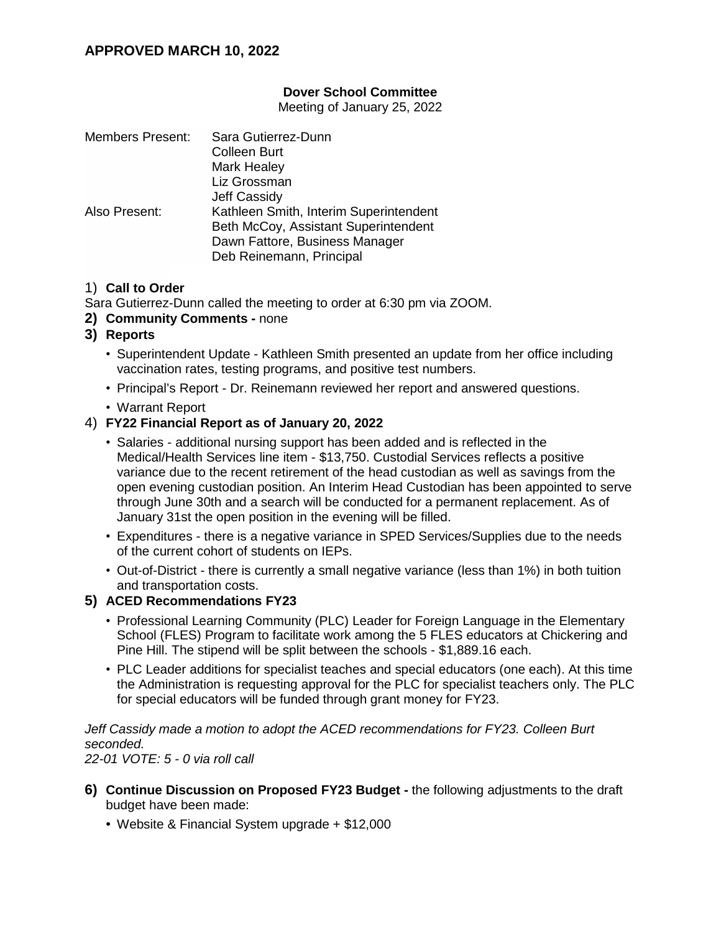## **Dover School Committee**

Meeting of January 25, 2022

| <b>Members Present:</b> | Sara Gutierrez-Dunn                    |
|-------------------------|----------------------------------------|
|                         | <b>Colleen Burt</b>                    |
|                         | Mark Healey                            |
|                         | Liz Grossman                           |
|                         | <b>Jeff Cassidy</b>                    |
| Also Present:           | Kathleen Smith, Interim Superintendent |
|                         | Beth McCoy, Assistant Superintendent   |
|                         | Dawn Fattore, Business Manager         |
|                         | Deb Reinemann, Principal               |

### 1) **Call to Order**

Sara Gutierrez-Dunn called the meeting to order at 6:30 pm via ZOOM.

- **2) Community Comments -** none
- **3) Reports**
	- Superintendent Update Kathleen Smith presented an update from her office including vaccination rates, testing programs, and positive test numbers.
	- Principal's Report Dr. Reinemann reviewed her report and answered questions.
	- Warrant Report

#### 4) **FY22 Financial Report as of January 20, 2022**

- Salaries additional nursing support has been added and is reflected in the Medical/Health Services line item - \$13,750. Custodial Services reflects a positive variance due to the recent retirement of the head custodian as well as savings from the open evening custodian position. An Interim Head Custodian has been appointed to serve through June 30th and a search will be conducted for a permanent replacement. As of January 31st the open position in the evening will be filled.
- Expenditures there is a negative variance in SPED Services/Supplies due to the needs of the current cohort of students on IEPs.
- Out-of-District there is currently a small negative variance (less than 1%) in both tuition and transportation costs.

#### **5) ACED Recommendations FY23**

- Professional Learning Community (PLC) Leader for Foreign Language in the Elementary School (FLES) Program to facilitate work among the 5 FLES educators at Chickering and Pine Hill. The stipend will be split between the schools - \$1,889.16 each.
- PLC Leader additions for specialist teaches and special educators (one each). At this time the Administration is requesting approval for the PLC for specialist teachers only. The PLC for special educators will be funded through grant money for FY23.

*Jeff Cassidy made a motion to adopt the ACED recommendations for FY23. Colleen Burt seconded.*

*22-01 VOTE: 5 - 0 via roll call*

- **6) Continue Discussion on Proposed FY23 Budget -** the following adjustments to the draft budget have been made:
	- Website & Financial System upgrade + \$12,000